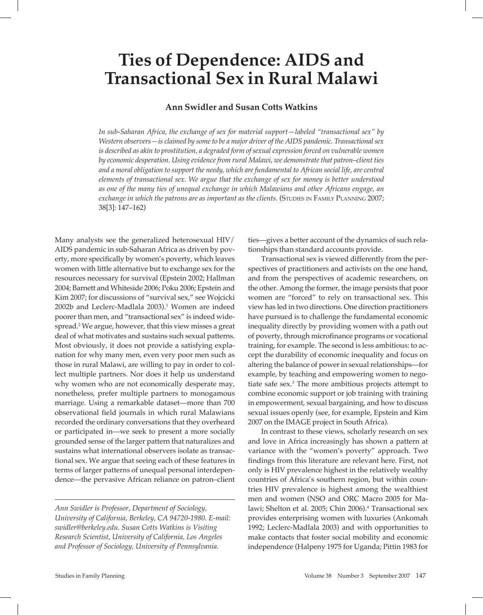# **Ties of Dependence: AIDS and Transactional Sex in Rural Malawi**

## **Ann Swidler and Susan Cotts Watkins**

*In sub-Saharan Africa, the exchange of sex for material support—labeled "transactional sex" by Western observers—is claimed by some to be a major driver of the AIDS pandemic. Transactional sex is described as akin to prostitution, a degraded form of sexual expression forced on vulnerable women by economic desperation. Using evidence from rural Malawi, we demonstrate that patron–client ties and a moral obligation to support the needy, which are fundamental to African social life, are central elements of transactional sex. We argue that the exchange of sex for money is better understood as one of the many ties of unequal exchange in which Malawians and other Africans engage, an exchange in which the patrons are as important as the clients.* (STUDIES IN FAMILY PLANNING 2007; 38[3]: 147–162)

Many analysts see the generalized heterosexual HIV/ AIDS pandemic in sub-Saharan Africa as driven by poverty, more specifically by women's poverty, which leaves women with little alternative but to exchange sex for the resources necessary for survival (Epstein 2002; Hallman 2004; Barnett and Whiteside 2006; Poku 2006; Epstein and Kim 2007; for discussions of "survival sex," see Wojcicki 2002b and Leclerc-Madlala 2003).1 Women are indeed poorer than men, and "transactional sex" is indeed widespread.2 We argue, however, that this view misses a great deal of what motivates and sustains such sexual patterns. Most obviously, it does not provide a satisfying explanation for why many men, even very poor men such as those in rural Malawi, are willing to pay in order to collect multiple partners. Nor does it help us understand why women who are not economically desperate may, nonetheless, prefer multiple partners to monogamous marriage. Using a remarkable dataset—more than 700 observational field journals in which rural Malawians recorded the ordinary conversations that they overheard or participated in—we seek to present a more socially grounded sense of the larger pattern that naturalizes and sustains what international observers isolate as transactional sex. We argue that seeing each of these features in terms of larger patterns of unequal personal interdependence—the pervasive African reliance on patron–client

ties—gives a better account of the dynamics of such relationships than standard accounts provide.

Transactional sex is viewed differently from the perspectives of practitioners and activists on the one hand, and from the perspectives of academic researchers, on the other. Among the former, the image persists that poor women are "forced" to rely on transactional sex. This view has led in two directions. One direction practitioners have pursued is to challenge the fundamental economic inequality directly by providing women with a path out of poverty, through microfinance programs or vocational training, for example. The second is less ambitious: to accept the durability of economic inequality and focus on altering the balance of power in sexual relationships—for example, by teaching and empowering women to negotiate safe sex.3 The more ambitious projects attempt to combine economic support or job training with training in empowerment, sexual bargaining, and how to discuss sexual issues openly (see, for example, Epstein and Kim 2007 on the IMAGE project in South Africa).

In contrast to these views, scholarly research on sex and love in Africa increasingly has shown a pattern at variance with the "women's poverty" approach. Two findings from this literature are relevant here. First, not only is HIV prevalence highest in the relatively wealthy countries of Africa's southern region, but within countries HIV prevalence is highest among the wealthiest men and women (NSO and ORC Macro 2005 for Malawi; Shelton et al. 2005; Chin 2006).4 Transactional sex provides enterprising women with luxuries (Ankomah 1992; Leclerc-Madlala 2003) and with opportunities to make contacts that foster social mobility and economic independence (Halpeny 1975 for Uganda; Pittin 1983 for

*Ann Swidler is Professor, Department of Sociology, University of California, Berkeley, CA 94720-1980. E-mail: swidler@berkeley.edu. Susan Cotts Watkins is Visiting Research Scientist, University of California, Los Angeles and Professor of Sociology, University of Pennsylvania.*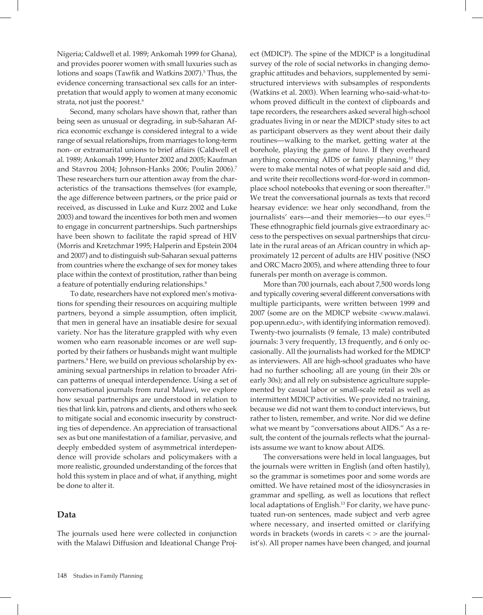Nigeria; Caldwell et al. 1989; Ankomah 1999 for Ghana), and provides poorer women with small luxuries such as lotions and soaps (Tawfik and Watkins 2007).<sup>5</sup> Thus, the evidence concerning transactional sex calls for an interpretation that would apply to women at many economic strata, not just the poorest.<sup>6</sup>

Second, many scholars have shown that, rather than being seen as unusual or degrading, in sub-Saharan Africa economic exchange is considered integral to a wide range of sexual relationships, from marriages to long-term non- or extramarital unions to brief affairs (Caldwell et al. 1989; Ankomah 1999; Hunter 2002 and 2005; Kaufman and Stavrou 2004; Johnson-Hanks 2006; Poulin 2006).7 These researchers turn our attention away from the characteristics of the transactions themselves (for example, the age difference between partners, or the price paid or received, as discussed in Luke and Kurz 2002 and Luke 2003) and toward the incentives for both men and women to engage in concurrent partnerships. Such partnerships have been shown to facilitate the rapid spread of HIV (Morris and Kretzchmar 1995; Halperin and Epstein 2004 and 2007) and to distinguish sub-Saharan sexual patterns from countries where the exchange of sex for money takes place within the context of prostitution, rather than being a feature of potentially enduring relationships.<sup>8</sup>

To date, researchers have not explored men's motivations for spending their resources on acquiring multiple partners, beyond a simple assumption, often implicit, that men in general have an insatiable desire for sexual variety. Nor has the literature grappled with why even women who earn reasonable incomes or are well supported by their fathers or husbands might want multiple partners.9 Here, we build on previous scholarship by examining sexual partnerships in relation to broader African patterns of unequal interdependence. Using a set of conversational journals from rural Malawi, we explore how sexual partnerships are understood in relation to ties that link kin, patrons and clients, and others who seek to mitigate social and economic insecurity by constructing ties of dependence. An appreciation of transactional sex as but one manifestation of a familiar, pervasive, and deeply embedded system of asymmetrical interdependence will provide scholars and policymakers with a more realistic, grounded understanding of the forces that hold this system in place and of what, if anything, might be done to alter it.

## **Data**

The journals used here were collected in conjunction with the Malawi Diffusion and Ideational Change Project (MDICP). The spine of the MDICP is a longitudinal survey of the role of social networks in changing demographic attitudes and behaviors, supplemented by semistructured interviews with subsamples of respondents (Watkins et al. 2003). When learning who-said-what-towhom proved difficult in the context of clipboards and tape recorders, the researchers asked several high-school graduates living in or near the MDICP study sites to act as participant observers as they went about their daily routines—walking to the market, getting water at the borehole, playing the game of *bawo*. If they overheard anything concerning AIDS or family planning, $10$  they were to make mental notes of what people said and did, and write their recollections word-for-word in commonplace school notebooks that evening or soon thereafter. 11 We treat the conversational journals as texts that record hearsay evidence: we hear only secondhand, from the journalists' ears—and their memories—to our eyes.12 These ethnographic field journals give extraordinary access to the perspectives on sexual partnerships that circulate in the rural areas of an African country in which approximately 12 percent of adults are HIV positive (NSO and ORC Macro 2005), and where attending three to four funerals per month on average is common.

More than 700 journals, each about 7,500 words long and typically covering several different conversations with multiple participants, were written between 1999 and 2007 (some are on the MDICP website <www.malawi. pop.upenn.edu>, with identifying information removed). Twenty-two journalists (9 female, 13 male) contributed journals: 3 very frequently, 13 frequently, and 6 only occasionally. All the journalists had worked for the MDICP as interviewers. All are high-school graduates who have had no further schooling; all are young (in their 20s or early 30s); and all rely on subsistence agriculture supplemented by casual labor or small-scale retail as well as intermittent MDICP activities. We provided no training, because we did not want them to conduct interviews, but rather to listen, remember, and write. Nor did we define what we meant by "conversations about AIDS." As a result, the content of the journals reflects what the journalists assume we want to know about AIDS.

The conversations were held in local languages, but the journals were written in English (and often hastily), so the grammar is sometimes poor and some words are omitted. We have retained most of the idiosyncrasies in grammar and spelling, as well as locutions that reflect local adaptations of English.<sup>13</sup> For clarity, we have punctuated run-on sentences, made subject and verb agree where necessary, and inserted omitted or clarifying words in brackets (words in carets < > are the journalist's). All proper names have been changed, and journal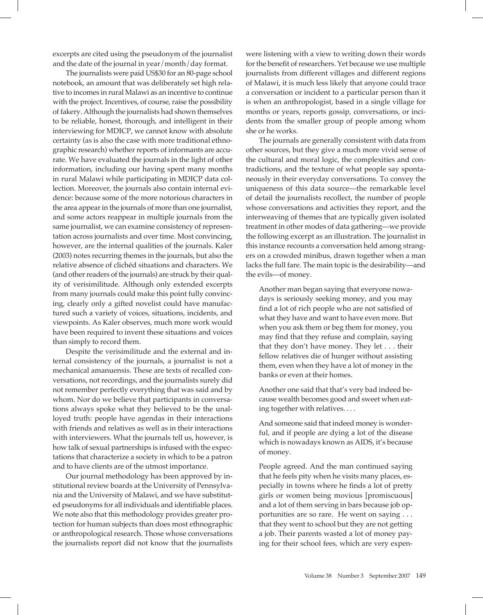excerpts are cited using the pseudonym of the journalist and the date of the journal in year/month/day format.

The journalists were paid US\$30 for an 80-page school notebook, an amount that was deliberately set high relative to incomes in rural Malawi as an incentive to continue with the project. Incentives, of course, raise the possibility of fakery. Although the journalists had shown themselves to be reliable, honest, thorough, and intelligent in their interviewing for MDICP, we cannot know with absolute certainty (as is also the case with more traditional ethnographic research) whether reports of informants are accurate. We have evaluated the journals in the light of other information, including our having spent many months in rural Malawi while participating in MDICP data collection. Moreover, the journals also contain internal evidence: because some of the more notorious characters in the area appear in the journals of more than one journalist, and some actors reappear in multiple journals from the same journalist, we can examine consistency of representation across journalists and over time. Most convincing, however, are the internal qualities of the journals. Kaler (2003) notes recurring themes in the journals, but also the relative absence of clichéd situations and characters. We (and other readers of the journals) are struck by their quality of verisimilitude. Although only extended excerpts from many journals could make this point fully convincing, clearly only a gifted novelist could have manufactured such a variety of voices, situations, incidents, and viewpoints. As Kaler observes, much more work would have been required to invent these situations and voices than simply to record them.

Despite the verisimilitude and the external and internal consistency of the journals, a journalist is not a mechanical amanuensis. These are texts of recalled conversations, not recordings, and the journalists surely did not remember perfectly everything that was said and by whom. Nor do we believe that participants in conversations always spoke what they believed to be the unalloyed truth: people have agendas in their interactions with friends and relatives as well as in their interactions with interviewers. What the journals tell us, however, is how talk of sexual partnerships is infused with the expectations that characterize a society in which to be a patron and to have clients are of the utmost importance.

Our journal methodology has been approved by institutional review boards at the University of Pennsylvania and the University of Malawi, and we have substituted pseudonyms for all individuals and identifiable places. We note also that this methodology provides greater protection for human subjects than does most ethnographic or anthropological research. Those whose conversations the journalists report did not know that the journalists

were listening with a view to writing down their words for the benefit of researchers. Yet because we use multiple journalists from different villages and different regions of Malawi, it is much less likely that anyone could trace a conversation or incident to a particular person than it is when an anthropologist, based in a single village for months or years, reports gossip, conversations, or incidents from the smaller group of people among whom she or he works.

The journals are generally consistent with data from other sources, but they give a much more vivid sense of the cultural and moral logic, the complexities and contradictions, and the texture of what people say spontaneously in their everyday conversations. To convey the uniqueness of this data source—the remarkable level of detail the journalists recollect, the number of people whose conversations and activities they report, and the interweaving of themes that are typically given isolated treatment in other modes of data gathering—we provide the following excerpt as an illustration. The journalist in this instance recounts a conversation held among strangers on a crowded minibus, drawn together when a man lacks the full fare. The main topic is the desirability—and the evils—of money.

Another man began saying that everyone nowadays is seriously seeking money, and you may find a lot of rich people who are not satisfied of what they have and want to have even more. But when you ask them or beg them for money, you may find that they refuse and complain, saying that they don't have money. They let . . . their fellow relatives die of hunger without assisting them, even when they have a lot of money in the banks or even at their homes.

Another one said that that's very bad indeed because wealth becomes good and sweet when eating together with relatives. . . .

And someone said that indeed money is wonderful, and if people are dying a lot of the disease which is nowadays known as AIDS, it's because of money.

People agreed. And the man continued saying that he feels pity when he visits many places, especially in towns where he finds a lot of pretty girls or women being movious [promiscuous] and a lot of them serving in bars because job opportunities are so rare. He went on saying . . . that they went to school but they are not getting a job. Their parents wasted a lot of money paying for their school fees, which are very expen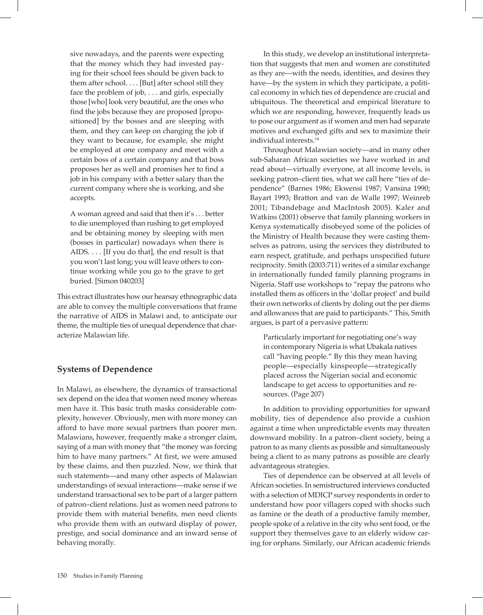sive nowadays, and the parents were expecting that the money which they had invested paying for their school fees should be given back to them after school. . . . [But] after school still they face the problem of job, . . . and girls, especially those [who] look very beautiful, are the ones who find the jobs because they are proposed [propositioned] by the bosses and are sleeping with them, and they can keep on changing the job if they want to because, for example, she might be employed at one company and meet with a certain boss of a certain company and that boss proposes her as well and promises her to find a job in his company with a better salary than the current company where she is working, and she accepts.

A woman agreed and said that then it's . . . better to die unemployed than rushing to get employed and be obtaining money by sleeping with men (bosses in particular) nowadays when there is AIDS. . . . [If you do that], the end result is that you won't last long; you will leave others to continue working while you go to the grave to get buried. [Simon 040203]

This extract illustrates how our hearsay ethnographic data are able to convey the multiple conversations that frame the narrative of AIDS in Malawi and, to anticipate our theme, the multiple ties of unequal dependence that characterize Malawian life.

## **Systems of Dependence**

In Malawi, as elsewhere, the dynamics of transactional sex depend on the idea that women need money whereas men have it. This basic truth masks considerable complexity, however. Obviously, men with more money can afford to have more sexual partners than poorer men. Malawians, however, frequently make a stronger claim, saying of a man with money that "the money was forcing him to have many partners." At first, we were amused by these claims, and then puzzled. Now, we think that such statements—and many other aspects of Malawian understandings of sexual interactions—make sense if we understand transactional sex to be part of a larger pattern of patron–client relations. Just as women need patrons to provide them with material benefits, men need clients who provide them with an outward display of power, prestige, and social dominance and an inward sense of behaving morally.

In this study, we develop an institutional interpretation that suggests that men and women are constituted as they are—with the needs, identities, and desires they have—by the system in which they participate, a political economy in which ties of dependence are crucial and ubiquitous. The theoretical and empirical literature to which we are responding, however, frequently leads us to pose our argument as if women and men had separate motives and exchanged gifts and sex to maximize their individual interests.14

Throughout Malawian society—and in many other sub-Saharan African societies we have worked in and read about—virtually everyone, at all income levels, is seeking patron–client ties, what we call here "ties of dependence" (Barnes 1986; Ekwensi 1987; Vansina 1990; Bayart 1993; Bratton and van de Walle 1997; Weinreb 2001; Tibandebage and MacIntosh 2005). Kaler and Watkins (2001) observe that family planning workers in Kenya systematically disobeyed some of the policies of the Ministry of Health because they were casting themselves as patrons, using the services they distributed to earn respect, gratitude, and perhaps unspecified future reciprocity. Smith (2003:711) writes of a similar exchange in internationally funded family planning programs in Nigeria. Staff use workshops to "repay the patrons who installed them as officers in the 'dollar project' and build their own networks of clients by doling out the per diems and allowances that are paid to participants." This, Smith argues, is part of a pervasive pattern:

Particularly important for negotiating one's way in contemporary Nigeria is what Ubakala natives call "having people." By this they mean having people—especially kinspeople—strategically placed across the Nigerian social and economic landscape to get access to opportunities and resources. (Page 207)

In addition to providing opportunities for upward mobility, ties of dependence also provide a cushion against a time when unpredictable events may threaten downward mobility. In a patron–client society, being a patron to as many clients as possible and simultaneously being a client to as many patrons as possible are clearly advantageous strategies.

Ties of dependence can be observed at all levels of African societies. In semistructured interviews conducted with a selection of MDICP survey respondents in order to understand how poor villagers coped with shocks such as famine or the death of a productive family member, people spoke of a relative in the city who sent food, or the support they themselves gave to an elderly widow caring for orphans. Similarly, our African academic friends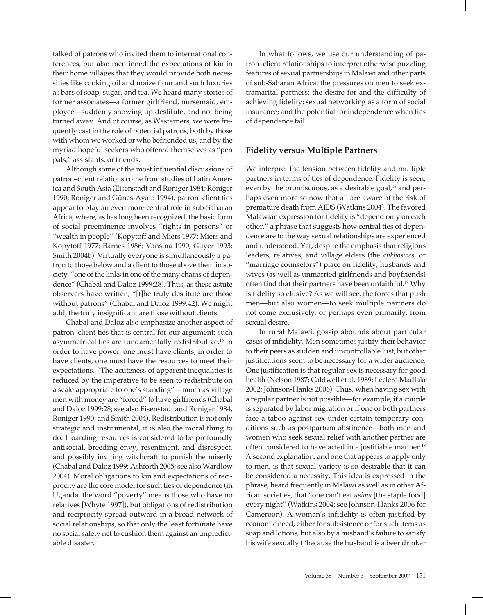talked of patrons who invited them to international conferences, but also mentioned the expectations of kin in their home villages that they would provide both necessities like cooking oil and maize flour and such luxuries as bars of soap, sugar, and tea. We heard many stories of former associates—a former girlfriend, nursemaid, employee—suddenly showing up destitute, and not being turned away. And of course, as Westerners, we were frequently cast in the role of potential patrons, both by those with whom we worked or who befriended us, and by the myriad hopeful seekers who offered themselves as "pen pals," assistants, or friends.

Although some of the most influential discussions of patron–client relations come from studies of Latin America and South Asia (Eisenstadt and Roniger 1984; Roniger 1990; Roniger and Günes-Ayata 1994), patron–client ties appear to play an even more central role in sub-Saharan Africa, where, as has long been recognized, the basic form of social preeminence involves "rights in persons" or "wealth in people" (Kopytoff and Miers 1977; Miers and Kopytoff 1977; Barnes 1986; Vansina 1990; Guyer 1993; Smith 2004b). Virtually everyone is simultaneously a patron to those below and a client to those above them in society, "one of the links in one of the many chains of dependence" (Chabal and Daloz 1999:28). Thus, as these astute observers have written, "[t]he truly destitute are those without patrons" (Chabal and Daloz 1999:42). We might add, the truly insignificant are those without clients.

Chabal and Daloz also emphasize another aspect of patron–client ties that is central for our argument: such asymmetrical ties are fundamentally redistributive.<sup>15</sup> In order to have power, one must have clients; in order to have clients, one must have the resources to meet their expectations. "The acuteness of apparent inequalities is reduced by the imperative to be seen to redistribute on a scale appropriate to one's standing"—much as village men with money are "forced" to have girlfriends (Chabal and Daloz 1999:28; see also Eisenstadt and Roniger 1984, Roniger 1990, and Smith 2004). Redistribution is not only strategic and instrumental, it is also the moral thing to do. Hoarding resources is considered to be profoundly antisocial, breeding envy, resentment, and disrespect, and possibly inviting witchcraft to punish the miserly (Chabal and Daloz 1999; Ashforth 2005; see also Wardlow 2004). Moral obligations to kin and expectations of reciprocity are the core model for such ties of dependence (in Uganda, the word "poverty" means those who have no relatives [Whyte 1997]), but obligations of redistribution and reciprocity spread outward in a broad network of social relationships, so that only the least fortunate have no social safety net to cushion them against an unpredictable disaster.

In what follows, we use our understanding of patron–client relationships to interpret otherwise puzzling features of sexual partnerships in Malawi and other parts of sub-Saharan Africa: the pressures on men to seek extramarital partners; the desire for and the difficulty of achieving fidelity; sexual networking as a form of social insurance; and the potential for independence when ties of dependence fail.

#### **Fidelity versus Multiple Partners**

We interpret the tension between fidelity and multiple partners in terms of ties of dependence. Fidelity is seen, even by the promiscuous, as a desirable goal, $16$  and perhaps even more so now that all are aware of the risk of premature death from AIDS (Watkins 2004). The favored Malawian expression for fidelity is "depend only on each other," a phrase that suggests how central ties of dependence are to the way sexual relationships are experienced and understood. Yet, despite the emphasis that religious leaders, relatives, and village elders (the *ankhoswes*, or "marriage counselors") place on fidelity, husbands and wives (as well as unmarried girlfriends and boyfriends) often find that their partners have been unfaithful.<sup>17</sup> Why is fidelity so elusive? As we will see, the forces that push men—but also women—to seek multiple partners do not come exclusively, or perhaps even primarily, from sexual desire.

In rural Malawi, gossip abounds about particular cases of infidelity. Men sometimes justify their behavior to their peers as sudden and uncontrollable lust, but other justifications seem to be necessary for a wider audience. One justification is that regular sex is necessary for good health (Nelson 1987; Caldwell et al. 1989; Leclerc-Madlala 2002; Johnson-Hanks 2006). Thus, when having sex with a regular partner is not possible—for example, if a couple is separated by labor migration or if one or both partners face a taboo against sex under certain temporary conditions such as postpartum abstinence—both men and women who seek sexual relief with another partner are often considered to have acted in a justifiable manner.<sup>18</sup> A second explanation, and one that appears to apply only to men, is that sexual variety is so desirable that it can be considered a necessity. This idea is expressed in the phrase, heard frequently in Malawi as well as in other African societies, that "one can't eat *nsima* [the staple food] every night" (Watkins 2004; see Johnson-Hanks 2006 for Cameroon). A woman's infidelity is often justified by economic need, either for subsistence or for such items as soap and lotions, but also by a husband's failure to satisfy his wife sexually ("because the husband is a beer drinker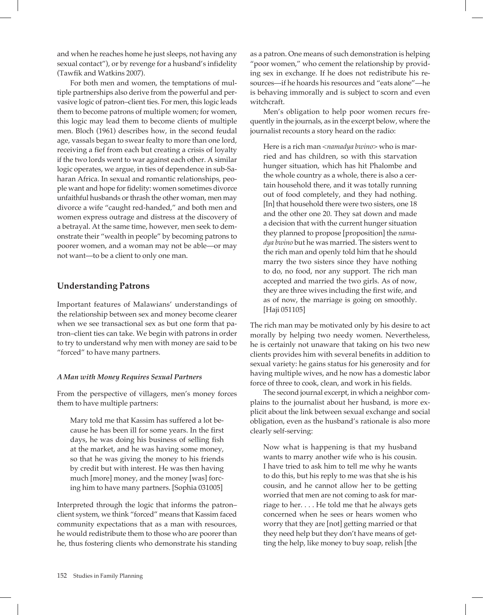and when he reaches home he just sleeps, not having any sexual contact"), or by revenge for a husband's infidelity (Tawfik and Watkins 2007).

For both men and women, the temptations of multiple partnerships also derive from the powerful and pervasive logic of patron–client ties. For men, this logic leads them to become patrons of multiple women; for women, this logic may lead them to become clients of multiple men. Bloch (1961) describes how, in the second feudal age, vassals began to swear fealty to more than one lord, receiving a fief from each but creating a crisis of loyalty if the two lords went to war against each other. A similar logic operates, we argue, in ties of dependence in sub-Saharan Africa. In sexual and romantic relationships, people want and hope for fidelity: women sometimes divorce unfaithful husbands or thrash the other woman, men may divorce a wife "caught red-handed," and both men and women express outrage and distress at the discovery of a betrayal. At the same time, however, men seek to demonstrate their "wealth in people" by becoming patrons to poorer women, and a woman may not be able—or may not want—to be a client to only one man.

# **Understanding Patrons**

Important features of Malawians' understandings of the relationship between sex and money become clearer when we see transactional sex as but one form that patron–client ties can take. We begin with patrons in order to try to understand why men with money are said to be "forced" to have many partners.

### *A Man with Money Requires Sexual Partners*

From the perspective of villagers, men's money forces them to have multiple partners:

Mary told me that Kassim has suffered a lot because he has been ill for some years. In the first days, he was doing his business of selling fish at the market, and he was having some money, so that he was giving the money to his friends by credit but with interest. He was then having much [more] money, and the money [was] forcing him to have many partners. [Sophia 031005]

Interpreted through the logic that informs the patron– client system, we think "forced" means that Kassim faced community expectations that as a man with resources, he would redistribute them to those who are poorer than he, thus fostering clients who demonstrate his standing

as a patron. One means of such demonstration is helping "poor women," who cement the relationship by providing sex in exchange. If he does not redistribute his resources—if he hoards his resources and "eats alone"—he is behaving immorally and is subject to scorn and even witchcraft.

Men's obligation to help poor women recurs frequently in the journals, as in the excerpt below, where the journalist recounts a story heard on the radio:

Here is a rich man <*namadya bwino*> who is married and has children, so with this starvation hunger situation, which has hit Phalombe and the whole country as a whole, there is also a certain household there, and it was totally running out of food completely, and they had nothing. [In] that household there were two sisters, one 18 and the other one 20. They sat down and made a decision that with the current hunger situation they planned to propose [proposition] the *namadya bwino* but he was married. The sisters went to the rich man and openly told him that he should marry the two sisters since they have nothing to do, no food, nor any support. The rich man accepted and married the two girls. As of now, they are three wives including the first wife, and as of now, the marriage is going on smoothly. [Haji 051105]

The rich man may be motivated only by his desire to act morally by helping two needy women. Nevertheless, he is certainly not unaware that taking on his two new clients provides him with several benefits in addition to sexual variety: he gains status for his generosity and for having multiple wives, and he now has a domestic labor force of three to cook, clean, and work in his fields.

The second journal excerpt, in which a neighbor complains to the journalist about her husband, is more explicit about the link between sexual exchange and social obligation, even as the husband's rationale is also more clearly self-serving:

Now what is happening is that my husband wants to marry another wife who is his cousin. I have tried to ask him to tell me why he wants to do this, but his reply to me was that she is his cousin, and he cannot allow her to be getting worried that men are not coming to ask for marriage to her. . . . He told me that he always gets concerned when he sees or hears women who worry that they are [not] getting married or that they need help but they don't have means of getting the help, like money to buy soap, relish [the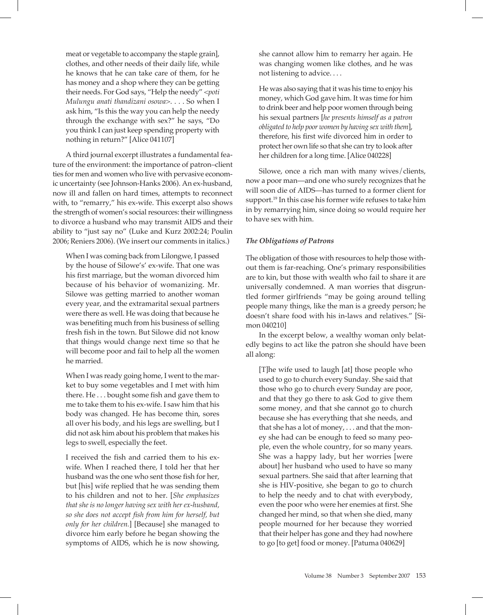meat or vegetable to accompany the staple grain], clothes, and other needs of their daily life, while he knows that he can take care of them, for he has money and a shop where they can be getting their needs. For God says, "Help the needy" <*poti Mulungu anati thandizani osowa*>. . . . So when I ask him, "Is this the way you can help the needy through the exchange with sex?" he says, "Do you think I can just keep spending property with nothing in return?" [Alice 041107]

A third journal excerpt illustrates a fundamental feature of the environment: the importance of patron–client ties for men and women who live with pervasive economic uncertainty (see Johnson-Hanks 2006). An ex-husband, now ill and fallen on hard times, attempts to reconnect with, to "remarry," his ex-wife. This excerpt also shows the strength of women's social resources: their willingness to divorce a husband who may transmit AIDS and their ability to "just say no" (Luke and Kurz 2002:24; Poulin 2006; Reniers 2006). (We insert our comments in italics.)

When I was coming back from Lilongwe, I passed by the house of Silowe's' ex-wife. That one was his first marriage, but the woman divorced him because of his behavior of womanizing. Mr. Silowe was getting married to another woman every year, and the extramarital sexual partners were there as well. He was doing that because he was benefiting much from his business of selling fresh fish in the town. But Silowe did not know that things would change next time so that he will become poor and fail to help all the women he married.

When I was ready going home, I went to the market to buy some vegetables and I met with him there. He . . . bought some fish and gave them to me to take them to his ex-wife. I saw him that his body was changed. He has become thin, sores all over his body, and his legs are swelling, but I did not ask him about his problem that makes his legs to swell, especially the feet.

I received the fish and carried them to his exwife. When I reached there, I told her that her husband was the one who sent those fish for her, but [his] wife replied that he was sending them to his children and not to her. [*She emphasizes that she is no longer having sex with her ex-husband, so she does not accept fish from him for herself, but only for her children.*] [Because] she managed to divorce him early before he began showing the symptoms of AIDS, which he is now showing, she cannot allow him to remarry her again. He was changing women like clothes, and he was not listening to advice. . . .

He was also saying that it was his time to enjoy his money, which God gave him. It was time for him to drink beer and help poor women through being his sexual partners [*he presents himself as a patron obligated to help poor women by having sex with them*], therefore, his first wife divorced him in order to protect her own life so that she can try to look after her children for a long time. [Alice 040228]

Silowe, once a rich man with many wives/clients, now a poor man—and one who surely recognizes that he will soon die of AIDS—has turned to a former client for support.<sup>19</sup> In this case his former wife refuses to take him in by remarrying him, since doing so would require her to have sex with him.

## *The Obligations of Patrons*

The obligation of those with resources to help those without them is far-reaching. One's primary responsibilities are to kin, but those with wealth who fail to share it are universally condemned. A man worries that disgruntled former girlfriends "may be going around telling people many things, like the man is a greedy person; he doesn't share food with his in-laws and relatives." [Simon 040210]

In the excerpt below, a wealthy woman only belatedly begins to act like the patron she should have been all along:

[T]he wife used to laugh [at] those people who used to go to church every Sunday. She said that those who go to church every Sunday are poor, and that they go there to ask God to give them some money, and that she cannot go to church because she has everything that she needs, and that she has a lot of money, . . . and that the money she had can be enough to feed so many people, even the whole country, for so many years. She was a happy lady, but her worries [were about] her husband who used to have so many sexual partners. She said that after learning that she is HIV-positive, she began to go to church to help the needy and to chat with everybody, even the poor who were her enemies at first. She changed her mind, so that when she died, many people mourned for her because they worried that their helper has gone and they had nowhere to go [to get] food or money. [Patuma 040629]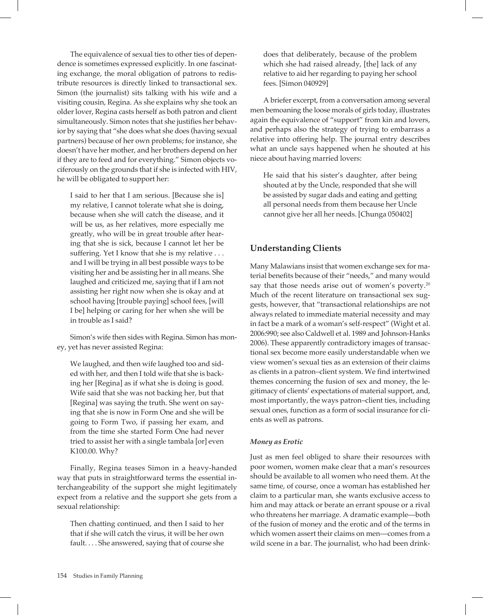The equivalence of sexual ties to other ties of dependence is sometimes expressed explicitly. In one fascinating exchange, the moral obligation of patrons to redistribute resources is directly linked to transactional sex. Simon (the journalist) sits talking with his wife and a visiting cousin, Regina. As she explains why she took an older lover, Regina casts herself as both patron and client simultaneously. Simon notes that she justifies her behavior by saying that "she does what she does (having sexual partners) because of her own problems; for instance, she doesn't have her mother, and her brothers depend on her if they are to feed and for everything." Simon objects vociferously on the grounds that if she is infected with HIV, he will be obligated to support her:

I said to her that I am serious. [Because she is] my relative, I cannot tolerate what she is doing, because when she will catch the disease, and it will be us, as her relatives, more especially me greatly, who will be in great trouble after hearing that she is sick, because I cannot let her be suffering. Yet I know that she is my relative . . . and I will be trying in all best possible ways to be visiting her and be assisting her in all means. She laughed and criticized me, saying that if I am not assisting her right now when she is okay and at school having [trouble paying] school fees, [will I be] helping or caring for her when she will be in trouble as I said?

Simon's wife then sides with Regina. Simon has money, yet has never assisted Regina:

We laughed, and then wife laughed too and sided with her, and then I told wife that she is backing her [Regina] as if what she is doing is good. Wife said that she was not backing her, but that [Regina] was saying the truth. She went on saying that she is now in Form One and she will be going to Form Two, if passing her exam, and from the time she started Form One had never tried to assist her with a single tambala [or] even K100.00. Why?

Finally, Regina teases Simon in a heavy-handed way that puts in straightforward terms the essential interchangeability of the support she might legitimately expect from a relative and the support she gets from a sexual relationship:

Then chatting continued, and then I said to her that if she will catch the virus, it will be her own fault. . . . She answered, saying that of course she does that deliberately, because of the problem which she had raised already, [the] lack of any relative to aid her regarding to paying her school fees. [Simon 040929]

A briefer excerpt, from a conversation among several men bemoaning the loose morals of girls today, illustrates again the equivalence of "support" from kin and lovers, and perhaps also the strategy of trying to embarrass a relative into offering help. The journal entry describes what an uncle says happened when he shouted at his niece about having married lovers:

He said that his sister's daughter, after being shouted at by the Uncle, responded that she will be assisted by sugar dads and eating and getting all personal needs from them because her Uncle cannot give her all her needs. [Chunga 050402]

# **Understanding Clients**

Many Malawians insist that women exchange sex for material benefits because of their "needs," and many would say that those needs arise out of women's poverty.<sup>20</sup> Much of the recent literature on transactional sex suggests, however, that "transactional relationships are not always related to immediate material necessity and may in fact be a mark of a woman's self-respect" (Wight et al. 2006:990; see also Caldwell et al. 1989 and Johnson-Hanks 2006). These apparently contradictory images of transactional sex become more easily understandable when we view women's sexual ties as an extension of their claims as clients in a patron–client system. We find intertwined themes concerning the fusion of sex and money, the legitimacy of clients' expectations of material support, and, most importantly, the ways patron–client ties, including sexual ones, function as a form of social insurance for clients as well as patrons.

## *Money as Erotic*

Just as men feel obliged to share their resources with poor women, women make clear that a man's resources should be available to all women who need them. At the same time, of course, once a woman has established her claim to a particular man, she wants exclusive access to him and may attack or berate an errant spouse or a rival who threatens her marriage. A dramatic example—both of the fusion of money and the erotic and of the terms in which women assert their claims on men—comes from a wild scene in a bar. The journalist, who had been drink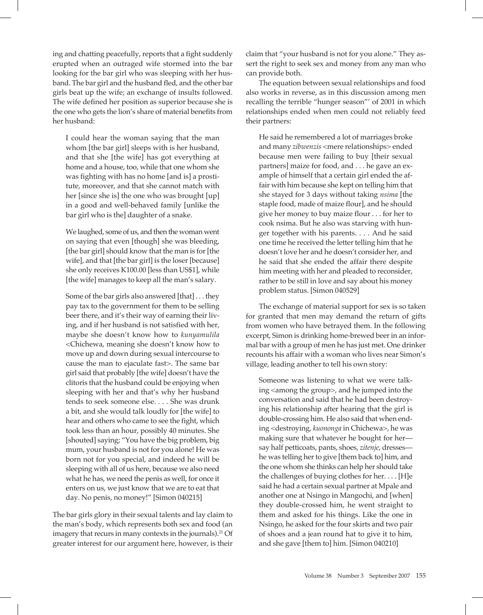ing and chatting peacefully, reports that a fight suddenly erupted when an outraged wife stormed into the bar looking for the bar girl who was sleeping with her husband. The bar girl and the husband fled, and the other bar girls beat up the wife; an exchange of insults followed. The wife defined her position as superior because she is the one who gets the lion's share of material benefits from her husband:

I could hear the woman saying that the man whom [the bar girl] sleeps with is her husband, and that she [the wife] has got everything at home and a house, too, while that one whom she was fighting with has no home [and is] a prostitute, moreover, and that she cannot match with her [since she is] the one who was brought [up] in a good and well-behaved family [unlike the bar girl who is the] daughter of a snake.

We laughed, some of us, and then the woman went on saying that even [though] she was bleeding, [the bar girl] should know that the man is for [the wife], and that [the bar girl] is the loser [because] she only receives K100.00 [less than US\$1], while [the wife] manages to keep all the man's salary.

Some of the bar girls also answered [that] . . . they pay tax to the government for them to be selling beer there, and it's their way of earning their living, and if her husband is not satisfied with her, maybe she doesn't know how to *kunyamulila* <Chichewa, meaning she doesn't know how to move up and down during sexual intercourse to cause the man to ejaculate fast>. The same bar girl said that probably [the wife] doesn't have the clitoris that the husband could be enjoying when sleeping with her and that's why her husband tends to seek someone else. . . . She was drunk a bit, and she would talk loudly for [the wife] to hear and others who came to see the fight, which took less than an hour, possibly 40 minutes. She [shouted] saying; "You have the big problem, big mum, your husband is not for you alone! He was born not for you special, and indeed he will be sleeping with all of us here, because we also need what he has, we need the penis as well, for once it enters on us, we just know that we are to eat that day. No penis, no money!" [Simon 040215]

The bar girls glory in their sexual talents and lay claim to the man's body, which represents both sex and food (an imagery that recurs in many contexts in the journals).<sup>21</sup> Of greater interest for our argument here, however, is their claim that "your husband is not for you alone." They assert the right to seek sex and money from any man who can provide both.

The equation between sexual relationships and food also works in reverse, as in this discussion among men recalling the terrible "hunger season"' of 2001 in which relationships ended when men could not reliably feed their partners:

He said he remembered a lot of marriages broke and many *zibwenzis* <mere relationships> ended because men were failing to buy [their sexual partners] maize for food, and . . . he gave an example of himself that a certain girl ended the affair with him because she kept on telling him that she stayed for 3 days without taking *nsima* [the staple food, made of maize flour], and he should give her money to buy maize flour . . . for her to cook nsima. But he also was starving with hunger together with his parents. . . . And he said one time he received the letter telling him that he doesn't love her and he doesn't consider her, and he said that she ended the affair there despite him meeting with her and pleaded to reconsider, rather to be still in love and say about his money problem status. [Simon 040529]

The exchange of material support for sex is so taken for granted that men may demand the return of gifts from women who have betrayed them. In the following excerpt, Simon is drinking home-brewed beer in an informal bar with a group of men he has just met. One drinker recounts his affair with a woman who lives near Simon's village, leading another to tell his own story:

Someone was listening to what we were talking <among the group>, and he jumped into the conversation and said that he had been destroying his relationship after hearing that the girl is double-crossing him. He also said that when ending <destroying, *kuononga* in Chichewa>, he was making sure that whatever he bought for her say half petticoats, pants, shoes, *zitenje*, dresses he was telling her to give [them back to] him, and the one whom she thinks can help her should take the challenges of buying clothes for her. . . . [H]e said he had a certain sexual partner at Mpale and another one at Nsingo in Mangochi, and [when] they double-crossed him, he went straight to them and asked for his things. Like the one in Nsingo, he asked for the four skirts and two pair of shoes and a jean round hat to give it to him, and she gave [them to] him. [Simon 040210]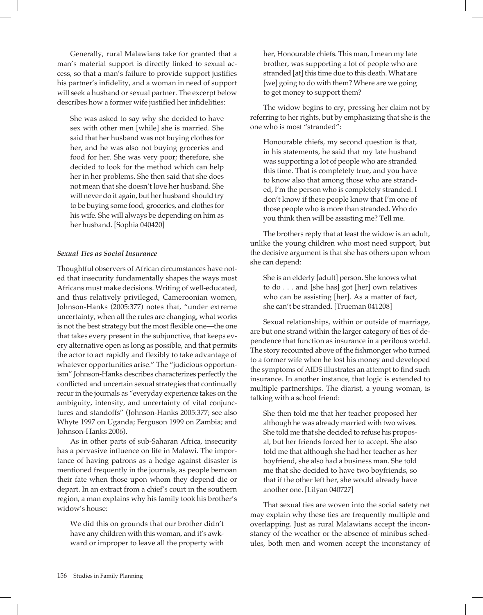Generally, rural Malawians take for granted that a man's material support is directly linked to sexual access, so that a man's failure to provide support justifies his partner's infidelity, and a woman in need of support will seek a husband or sexual partner. The excerpt below describes how a former wife justified her infidelities:

She was asked to say why she decided to have sex with other men [while] she is married. She said that her husband was not buying clothes for her, and he was also not buying groceries and food for her. She was very poor; therefore, she decided to look for the method which can help her in her problems. She then said that she does not mean that she doesn't love her husband. She will never do it again, but her husband should try to be buying some food, groceries, and clothes for his wife. She will always be depending on him as her husband. [Sophia 040420]

#### *Sexual Ties as Social Insurance*

Thoughtful observers of African circumstances have noted that insecurity fundamentally shapes the ways most Africans must make decisions. Writing of well-educated, and thus relatively privileged, Cameroonian women, Johnson-Hanks (2005:377) notes that, "under extreme uncertainty, when all the rules are changing, what works is not the best strategy but the most flexible one—the one that takes every present in the subjunctive, that keeps every alternative open as long as possible, and that permits the actor to act rapidly and flexibly to take advantage of whatever opportunities arise." The "judicious opportunism" Johnson-Hanks describes characterizes perfectly the conflicted and uncertain sexual strategies that continually recur in the journals as "everyday experience takes on the ambiguity, intensity, and uncertainty of vital conjunctures and standoffs" (Johnson-Hanks 2005:377; see also Whyte 1997 on Uganda; Ferguson 1999 on Zambia; and Johnson-Hanks 2006).

As in other parts of sub-Saharan Africa, insecurity has a pervasive influence on life in Malawi. The importance of having patrons as a hedge against disaster is mentioned frequently in the journals, as people bemoan their fate when those upon whom they depend die or depart. In an extract from a chief's court in the southern region, a man explains why his family took his brother's widow's house:

We did this on grounds that our brother didn't have any children with this woman, and it's awkward or improper to leave all the property with her, Honourable chiefs. This man, I mean my late brother, was supporting a lot of people who are stranded [at] this time due to this death. What are [we] going to do with them? Where are we going to get money to support them?

The widow begins to cry, pressing her claim not by referring to her rights, but by emphasizing that she is the one who is most "stranded":

Honourable chiefs, my second question is that, in his statements, he said that my late husband was supporting a lot of people who are stranded this time. That is completely true, and you have to know also that among those who are stranded, I'm the person who is completely stranded. I don't know if these people know that I'm one of those people who is more than stranded. Who do you think then will be assisting me? Tell me.

The brothers reply that at least the widow is an adult, unlike the young children who most need support, but the decisive argument is that she has others upon whom she can depend:

She is an elderly [adult] person. She knows what to do . . . and [she has] got [her] own relatives who can be assisting [her]. As a matter of fact, she can't be stranded. [Trueman 041208]

Sexual relationships, within or outside of marriage, are but one strand within the larger category of ties of dependence that function as insurance in a perilous world. The story recounted above of the fishmonger who turned to a former wife when he lost his money and developed the symptoms of AIDS illustrates an attempt to find such insurance. In another instance, that logic is extended to multiple partnerships. The diarist, a young woman, is talking with a school friend:

She then told me that her teacher proposed her although he was already married with two wives. She told me that she decided to refuse his proposal, but her friends forced her to accept. She also told me that although she had her teacher as her boyfriend, she also had a business man. She told me that she decided to have two boyfriends, so that if the other left her, she would already have another one. [Lilyan 040727]

That sexual ties are woven into the social safety net may explain why these ties are frequently multiple and overlapping. Just as rural Malawians accept the inconstancy of the weather or the absence of minibus schedules, both men and women accept the inconstancy of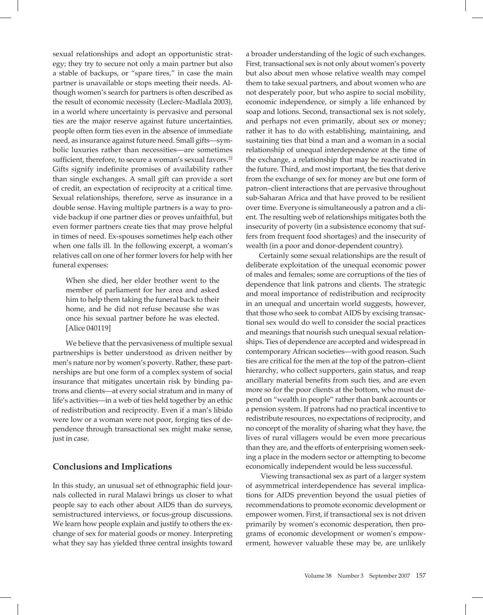sexual relationships and adopt an opportunistic strategy; they try to secure not only a main partner but also a stable of backups, or "spare tires," in case the main partner is unavailable or stops meeting their needs. Although women's search for partners is often described as the result of economic necessity (Leclerc-Madlala 2003), in a world where uncertainty is pervasive and personal ties are the major reserve against future uncertainties, people often form ties even in the absence of immediate need, as insurance against future need. Small gifts—symbolic luxuries rather than necessities—are sometimes sufficient, therefore, to secure a woman's sexual favors.<sup>22</sup> Gifts signify indefinite promises of availability rather than single exchanges. A small gift can provide a sort of credit, an expectation of reciprocity at a critical time. Sexual relationships, therefore, serve as insurance in a double sense. Having multiple partners is a way to provide backup if one partner dies or proves unfaithful, but even former partners create ties that may prove helpful in times of need. Ex-spouses sometimes help each other when one falls ill. In the following excerpt, a woman's relatives call on one of her former lovers for help with her funeral expenses:

When she died, her elder brother went to the member of parliament for her area and asked him to help them taking the funeral back to their home, and he did not refuse because she was once his sexual partner before he was elected. [Alice 040119]

We believe that the pervasiveness of multiple sexual partnerships is better understood as driven neither by men's nature nor by women's poverty. Rather, these partnerships are but one form of a complex system of social insurance that mitigates uncertain risk by binding patrons and clients—at every social stratum and in many of life's activities—in a web of ties held together by an ethic of redistribution and reciprocity. Even if a man's libido were low or a woman were not poor, forging ties of dependence through transactional sex might make sense, just in case.

## **Conclusions and Implications**

In this study, an unusual set of ethnographic field journals collected in rural Malawi brings us closer to what people say to each other about AIDS than do surveys, semistructured interviews, or focus-group discussions. We learn how people explain and justify to others the exchange of sex for material goods or money. Interpreting what they say has yielded three central insights toward

a broader understanding of the logic of such exchanges. First, transactional sex is not only about women's poverty but also about men whose relative wealth may compel them to take sexual partners, and about women who are not desperately poor, but who aspire to social mobility, economic independence, or simply a life enhanced by soap and lotions. Second, transactional sex is not solely, and perhaps not even primarily, about sex or money; rather it has to do with establishing, maintaining, and sustaining ties that bind a man and a woman in a social relationship of unequal interdependence at the time of the exchange, a relationship that may be reactivated in the future. Third, and most important, the ties that derive from the exchange of sex for money are but one form of patron–client interactions that are pervasive throughout sub-Saharan Africa and that have proved to be resilient over time. Everyone is simultaneously a patron and a client. The resulting web of relationships mitigates both the insecurity of poverty (in a subsistence economy that suffers from frequent food shortages) and the insecurity of wealth (in a poor and donor-dependent country).

Certainly some sexual relationships are the result of deliberate exploitation of the unequal economic power of males and females; some are corruptions of the ties of dependence that link patrons and clients. The strategic and moral importance of redistribution and reciprocity in an unequal and uncertain world suggests, however, that those who seek to combat AIDS by excising transactional sex would do well to consider the social practices and meanings that nourish such unequal sexual relationships. Ties of dependence are accepted and widespread in contemporary African societies—with good reason. Such ties are critical for the men at the top of the patron–client hierarchy, who collect supporters, gain status, and reap ancillary material benefits from such ties, and are even more so for the poor clients at the bottom, who must depend on "wealth in people" rather than bank accounts or a pension system. If patrons had no practical incentive to redistribute resources, no expectations of reciprocity, and no concept of the morality of sharing what they have, the lives of rural villagers would be even more precarious than they are, and the efforts of enterprising women seeking a place in the modern sector or attempting to become economically independent would be less successful.

 Viewing transactional sex as part of a larger system of asymmetrical interdependence has several implications for AIDS prevention beyond the usual pieties of recommendations to promote economic development or empower women. First, if transactional sex is not driven primarily by women's economic desperation, then programs of economic development or women's empowerment, however valuable these may be, are unlikely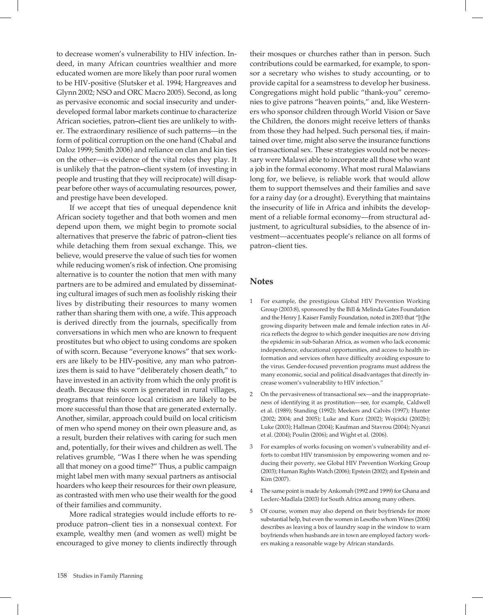to decrease women's vulnerability to HIV infection. Indeed, in many African countries wealthier and more educated women are more likely than poor rural women to be HIV-positive (Slutsker et al. 1994; Hargreaves and Glynn 2002; NSO and ORC Macro 2005). Second, as long as pervasive economic and social insecurity and underdeveloped formal labor markets continue to characterize African societies, patron**–**client ties are unlikely to wither. The extraordinary resilience of such patterns—in the form of political corruption on the one hand (Chabal and Daloz 1999; Smith 2006) and reliance on clan and kin ties on the other—is evidence of the vital roles they play. It is unlikely that the patron**–**client system (of investing in people and trusting that they will reciprocate) will disappear before other ways of accumulating resources, power, and prestige have been developed.

If we accept that ties of unequal dependence knit African society together and that both women and men depend upon them, we might begin to promote social alternatives that preserve the fabric of patron**–**client ties while detaching them from sexual exchange. This, we believe, would preserve the value of such ties for women while reducing women's risk of infection. One promising alternative is to counter the notion that men with many partners are to be admired and emulated by disseminating cultural images of such men as foolishly risking their lives by distributing their resources to many women rather than sharing them with one, a wife. This approach is derived directly from the journals, specifically from conversations in which men who are known to frequent prostitutes but who object to using condoms are spoken of with scorn. Because "everyone knows" that sex workers are likely to be HIV-positive, any man who patronizes them is said to have "deliberately chosen death," to have invested in an activity from which the only profit is death. Because this scorn is generated in rural villages, programs that reinforce local criticism are likely to be more successful than those that are generated externally. Another, similar, approach could build on local criticism of men who spend money on their own pleasure and, as a result, burden their relatives with caring for such men and, potentially, for their wives and children as well. The relatives grumble, "Was I there when he was spending all that money on a good time?" Thus, a public campaign might label men with many sexual partners as antisocial hoarders who keep their resources for their own pleasure, as contrasted with men who use their wealth for the good of their families and community.

More radical strategies would include efforts to reproduce patron–client ties in a nonsexual context. For example, wealthy men (and women as well) might be encouraged to give money to clients indirectly through

their mosques or churches rather than in person. Such contributions could be earmarked, for example, to sponsor a secretary who wishes to study accounting, or to provide capital for a seamstress to develop her business. Congregations might hold public "thank-you" ceremonies to give patrons "heaven points," and, like Westerners who sponsor children through World Vision or Save the Children, the donors might receive letters of thanks from those they had helped. Such personal ties, if maintained over time, might also serve the insurance functions of transactional sex. These strategies would not be necessary were Malawi able to incorporate all those who want a job in the formal economy. What most rural Malawians long for, we believe, is reliable work that would allow them to support themselves and their families and save for a rainy day (or a drought). Everything that maintains the insecurity of life in Africa and inhibits the development of a reliable formal economy—from structural adjustment, to agricultural subsidies, to the absence of investment—accentuates people's reliance on all forms of patron–client ties.

#### **Notes**

- 1 For example, the prestigious Global HIV Prevention Working Group (2003:8), sponsored by the Bill & Melinda Gates Foundation and the Henry J. Kaiser Family Foundation, noted in 2003 that "[t]he growing disparity between male and female infection rates in Africa reflects the degree to which gender inequities are now driving the epidemic in sub-Saharan Africa, as women who lack economic independence, educational opportunities, and access to health information and services often have difficulty avoiding exposure to the virus. Gender-focused prevention programs must address the many economic, social and political disadvantages that directly increase women's vulnerability to HIV infection."
- 2 On the pervasiveness of transactional sex—and the inappropriateness of identifying it as prostitution—see, for example, Caldwell et al. (1989); Standing (1992); Meekers and Calvès (1997); Hunter (2002; 2004; and 2005); Luke and Kurz (2002); Wojcicki (2002b); Luke (2003); Hallman (2004); Kaufman and Stavrou (2004); Nyanzi et al. (2004); Poulin (2006); and Wight et al. (2006).
- 3 For examples of works focusing on women's vulnerability and efforts to combat HIV transmission by empowering women and reducing their poverty, see Global HIV Prevention Working Group (2003); Human Rights Watch (2006); Epstein (2002); and Epstein and Kim (2007).
- 4 The same point is made by Ankomah (1992 and 1999) for Ghana and Leclerc-Madlala (2003) for South Africa among many others.
- 5 Of course, women may also depend on their boyfriends for more substantial help, but even the women in Lesotho whom Wines (2004) describes as leaving a box of laundry soap in the window to warn boyfriends when husbands are in town are employed factory workers making a reasonable wage by African standards.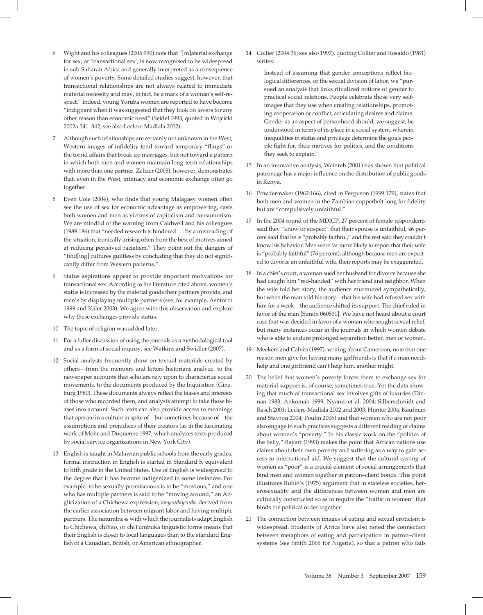- 6 Wight and his colleagues (2006:990) note that "[m]aterial exchange for sex, or 'transactional sex', is now recognised to be widespread in sub-Saharan Africa and generally interpreted as a consequence of women's poverty. Some detailed studies suggest, however, that transactional relationships are not always related to immediate material necessity and may, in fact, be a mark of a woman's self-respect." Indeed, young Yoruba women are reported to have become "indignant when it was suggested that they took on lovers for any other reason than economic need" (Seidel 1993, quoted in Wojcicki 2002a:341–342; see also Leclerc-Madlala 2002).
- 7 Although such relationships are certainly not unknown in the West, Western images of infidelity tend toward temporary "flings" or the torrid affairs that break up marriages, but not toward a pattern in which both men and women maintain long-term relationships with more than one partner. Zelizer (2005), however, demonstrates that, even in the West, intimacy and economic exchange often go together.
- Even Cole (2004), who finds that young Malagasy women often see the use of sex for economic advantage as empowering, casts both women and men as victims of capitalism and consumerism. We are mindful of the warning from Caldwell and his colleagues (1989:186) that "needed research is hindered . . . by a misreading of the situation, ironically arising often from the best of motives aimed at reducing perceived racialism." They point out the dangers of "find[ing] cultures guiltless by concluding that they do not significantly differ from Western patterns."
- 9 Status aspirations appear to provide important motivations for transactional sex. According to the literature cited above, women's status is increased by the material goods their partners provide, and men's by displaying multiple partners (see, for example, Ashforth 1999 and Kaler 2003). We agree with this observation and explore why these exchanges provide status.
- 10 The topic of religion was added later.
- 11 For a fuller discussion of using the journals as a methodological tool and as a form of social inquiry, see Watkins and Swidler (2007).
- 12 Social analysts frequently draw on textual materials created by others—from the memoirs and letters historians analyze, to the newspaper accounts that scholars rely upon to characterize social movements, to the documents produced by the Inquisition (Ginzburg 1980). These documents always reflect the biases and interests of those who recorded them, and analysts attempt to take those biases into account. Such texts can also provide access to meanings that operate in a culture in spite of—but sometimes because of—the assumptions and prejudices of their creators (as in the fascinating work of Mohr and Duquenne 1997, which analyzes texts produced by social service organizations in New York City).
- 13 English is taught in Malawian public schools from the early grades; formal instruction in English is started in Standard 5, equivalent to fifth grade in the United States. Use of English is widespread to the degree that it has become indigenized in some instances. For example, to be sexually promiscuous is to be "movious," and one who has multiple partners is said to be "moving around," an Anglicization of a Chichewa expression, *woyendayenda*, derived from the earlier association between migrant labor and having multiple partners. The naturalness with which the journalists adapt English to Chichewa, chiYao, or chiTumbuka linguistic forms means that their English is closer to local languages than to the standard English of a Canadian, British, or American ethnographer.

14 Collier (2004:36; see also 1997), quoting Collier and Rosaldo (1981) writes:

Instead of assuming that gender conceptions reflect biological differences, or the sexual division of labor, we "pursued an analysis that links ritualized notions of gender to practical social relations. People celebrate those very selfimages that they use when creating relationships, promoting cooperation or conflict, articulating desires and claims. Gender as an aspect of personhood should, we suggest, be understood in terms of its place in a social system, wherein inequalities in status and privilege determine the goals people fight for, their motives for politics, and the conditions they seek to explain."

- 15 In an innovative analysis, Weinreb (2001) has shown that political patronage has a major influence on the distribution of public goods in Kenya.
- 16 Powdermaker (1962:166), cited in Ferguson (1999:179), states that both men and women in the Zambian copperbelt long for fidelity but are "compulsively unfaithful."
- 17 In the 2004 round of the MDICP, 27 percent of female respondents said they "know or suspect" that their spouse is unfaithful, 46 percent said that he is "probably faithful," and the rest said they couldn't know his behavior. Men were far more likely to report that their wife is "probably faithful" (76 percent), although because men are expected to divorce an unfaithful wife, their reports may be exaggerated.
- 18 In a chief's court, a woman sued her husband for divorce because she had caught him "red-handed" with her friend and neighbor. When the wife told her story, the audience murmured sympathetically, but when the man told his story—that his wife had refused sex with him for a week—the audience shifted its support. The chief ruled in favor of the man [Simon 060531]. We have not heard about a court case that was decided in favor of a woman who sought sexual relief, but many instances occur in the journals in which women debate who is able to endure prolonged separation better, men or women.
- 19 Meekers and Calvès (1997), writing about Cameroon, note that one reason men give for having many girlfriends is that if a man needs help and one girlfriend can't help him, another might.
- 20 The belief that women's poverty forces them to exchange sex for material support is, of course, sometimes true. Yet the data showing that much of transactional sex involves gifts of luxuries (Dinnan 1983; Ankomah 1999; Nyanzi et al. 2004; Silberschmidt and Rasch 2001; Leclerc-Madlala 2002 and 2003; Hunter 2004; Kaufman and Stavrou 2004; Poulin 2006) and that women who are not poor also engage in such practices suggests a different reading of claims about women's "poverty." In his classic work on the "politics of the belly," Bayart (1993) makes the point that African nations use claims about their own poverty and suffering as a way to gain access to international aid. We suggest that the cultural casting of women as "poor" is a crucial element of social arrangements that bind men and women together in patron–client bonds. This point illustrates Rubin's (1975) argument that in stateless societies, heterosexuality and the differences between women and men are culturally constructed so as to require the "traffic in women" that binds the political order together.
- 21 The connection between images of eating and sexual eroticism is widespread. Students of Africa have also noted the connection between metaphors of eating and participation in patron–client systems (see Smith 2006 for Nigeria), so that a patron who fails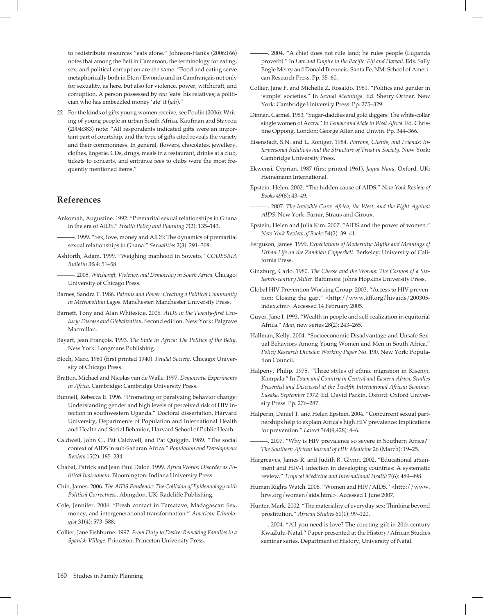to redistribute resources "eats alone." Johnson-Hanks (2006:166) notes that among the Beti in Cameroon, the terminology for eating, sex, and political corruption are the same: "Food and eating serve metaphorically both in Eton/Ewondo and in Camfrançais not only for sexuality, as here, but also for violence, power, witchcraft, and corruption. A person possessed by *evu* 'eats' his relatives; a politician who has embezzled money 'ate' it (*adi*)."

22 For the kinds of gifts young women receive, see Poulin (2006). Writing of young people in urban South Africa, Kaufman and Stavrou (2004:383) note: "All respondents indicated gifts were an important part of courtship, and the type of gifts cited reveals the variety and their commonness. In general, flowers, chocolates, jewellery, clothes, lingerie, CDs, drugs, meals in a restaurant, drinks at a club, tickets to concerts, and entrance fees to clubs were the most frequently mentioned items."

## **References**

- Ankomah, Augustine. 1992. "Premarital sexual relationships in Ghana in the era of AIDS." *Health Policy and Planning* 7(2): 135–143.
- ———. 1999. "Sex, love, money and AIDS: The dynamics of premarital sexual relationships in Ghana." *Sexualities* 2(3): 291–308.
- Ashforth, Adam. 1999. "Weighing manhood in Soweto." *CODESRIA Bulletin* 3&4: 51–58.
- ———. 2005. *Witchcraft, Violence, and Democracy in South Africa*. Chicago: University of Chicago Press.
- Barnes, Sandra T. 1986. *Patrons and Power: Creating a Political Community in Metropolitan Lagos*. Manchester: Manchester University Press.
- Barnett, Tony and Alan Whiteside. 2006. *AIDS in the Twenty-first Century: Disease and Globalization*. Second edition. New York: Palgrave Macmillan.
- Bayart, Jean François. 1993. *The State in Africa: The Politics of the Belly*. New York: Longmans Publishing.
- Bloch, Marc. 1961 (first printed 1940). *Feudal Society*. Chicago: University of Chicago Press.
- Bratton, Michael and Nicolas van de Walle. 1997. *Democratic Experiments in Africa*. Cambridge: Cambridge University Press.
- Bunnell, Rebecca E. 1996. "Promoting or paralyzing behavior change: Understanding gender and high levels of perceived risk of HIV infection in southwestern Uganda." Doctoral dissertation, Harvard University, Departments of Population and International Health and Health and Social Behavior, Harvard School of Public Heath.
- Caldwell, John C., Pat Caldwell, and Pat Quiggin. 1989. "The social context of AIDS in sub-Saharan Africa." *Population and Development Review* 15(2): 185–234.
- Chabal, Patrick and Jean Paul Daloz. 1999. *Africa Works: Disorder as Political Instrument*. Bloomington: Indiana University Press.
- Chin, James. 2006. *The AIDS Pandemic: The Collision of Epidemiology with Political Correctness*. Abingdon, UK: Radcliffe Publishing.
- Cole, Jennifer. 2004. "Fresh contact in Tamatave, Madagascar: Sex, money, and intergenerational transformation." *American Ethnologist* 31(4): 573–588.
- Collier, Jane Fishburne. 1997. *From Duty to Desire: Remaking Families in a Spanish Village*. Princeton: Princeton University Press.
- ———. 2004. "A chief does not rule land; he rules people (Luganda proverb)." In *Law and Empire in the Pacific: Fiji and Hawaii*. Eds. Sally Engle Merry and Donald Brenneis. Santa Fe, NM: School of American Research Press. Pp. 35–60.
- Collier, Jane F. and Michelle Z. Rosaldo. 1981. "Politics and gender in 'simple' societies." In *Sexual Meanings*. Ed. Sherry Ortner. New York: Cambridge University Press. Pp. 275–329.
- Dinnan, Carmel. 1983. "Sugar-daddies and gold diggers: The white-collar single women of Accra." In *Female and Male in West Africa*. Ed. Christine Oppong. London: George Allen and Unwin. Pp. 344–366.
- Eisenstadt, S.N. and L. Roniger. 1984. *Patrons, Clients, and Friends: Interpersonal Relations and the Structure of Trust in Society*. New York: Cambridge University Press.
- Ekwensi, Cyprian. 1987 (first printed 1961). *Jagua Nana*. Oxford, UK: Heinemann International.
- Epstein, Helen. 2002. "The hidden cause of AIDS." *New York Review of Books* 49(8): 43–49.
- ———. 2007. *The Invisible Cure: Africa, the West, and the Fight Against AIDS*. New York: Farrar, Straus and Giroux.
- Epstein, Helen and Julia Kim. 2007. "AIDS and the power of women." *New York Review of Books* 54(2): 39–41.
- Ferguson, James. 1999. *Expectations of Modernity: Myths and Meanings of Urban Life on the Zambian Copperbelt*. Berkeley: University of California Press.
- Ginzburg, Carlo. 1980. *The Cheese and the Worms: The Cosmos of a Sixteenth-century Miller*. Baltimore: Johns Hopkins University Press.
- Global HIV Prevention Working Group. 2003. "Access to HIV prevention: Closing the gap." <http://www.kff.org/hivaids/200305index.cfm>. Accessed 14 February 2005.
- Guyer, Jane I. 1993. "Wealth in people and self-realization in equitorial Africa." *Man,* new series 28(2): 243–265.
- Hallman, Kelly. 2004. "Socioeconomic Disadvantage and Unsafe Sexual Behaviors Among Young Women and Men in South Africa." *Policy Research Division Working Paper* No. 190. New York: Population Council.
- Halpeny, Philip. 1975. "Three styles of ethnic migration in Kisenyi, Kampala." In *Town and Country in Central and Eastern Africa: Studies Presented and Discussed at the Twelfth International African Seminar, Lusaka, September 1972*. Ed. David Parkin. Oxford: Oxford University Press. Pp. 276–287.
- Halperin, Daniel T. and Helen Epstein. 2004. "Concurrent sexual partnerships help to explain Africa's high HIV prevalence: Implications for prevention." *Lancet* 364(9,428): 4–6.
- -. 2007. "Why is HIV prevalence so severe in Southern Africa?" *The Southern African Journal of HIV Medicine* 26 (March): 19–25.
- Hargreaves, James R. and Judith R. Glynn. 2002. "Educational attainment and HIV-1 infection in developing countries: A systematic review." *Tropical Medicine and International Health* 7(6): 489–498.
- Human Rights Watch. 2006. "Women and HIV/AIDS." <http://www. hrw.org/women/aids.html>. Accessed 1 June 2007.
- Hunter, Mark. 2002. "The materiality of everyday sex: Thinking beyond prostitution." *African Studies* 61(1): 99–120.
	- 2004. "All you need is love? The courting gift in 20th century KwaZulu-Natal." Paper presented at the History/African Studies seminar series, Department of History, University of Natal.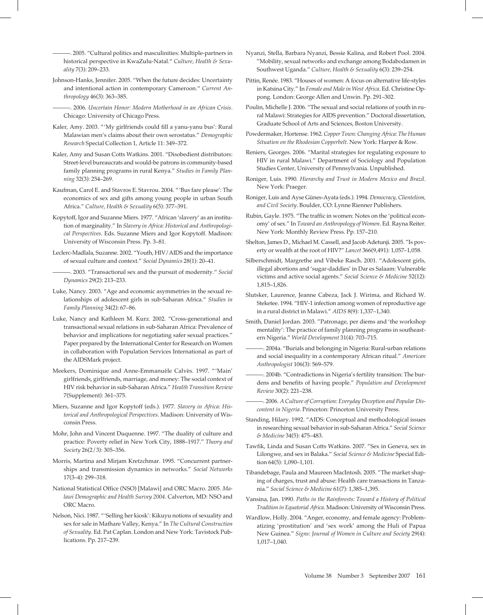- ———. 2005. "Cultural politics and masculinities: Multiple-partners in historical perspective in KwaZulu-Natal." *Culture, Health & Sexuality* 7(3): 209–233.
- Johnson-Hanks, Jennifer. 2005. "When the future decides: Uncertainty and intentional action in contemporary Cameroon." *Current Anthropology* 46(3): 363–385.

———. 2006. *Uncertain Honor: Modern Motherhood in an African Crisis*. Chicago: University of Chicago Press.

- Kaler, Amy. 2003. "'My girlfriends could fill a yanu-yanu bus': Rural Malawian men's claims about their own serostatus." *Demographic Research* Special Collection 1, Article 11: 349–372.
- Kaler, Amy and Susan Cotts Watkins. 2001. "Disobedient distributors: Street-level bureaucrats and would-be patrons in community-based family planning programs in rural Kenya." *Studies in Family Planning* 32(3): 254–269.
- Kaufman, Carol E. and Stavros E. Stavrou. 2004. "'Bus fare please': The economics of sex and gifts among young people in urban South Africa." *Culture, Health & Sexuality* 6(5): 377–391.
- Kopytoff, Igor and Suzanne Miers. 1977. "African 'slavery' as an institution of marginality." In *Slavery in Africa: Historical and Anthropological Perspectives*. Eds. Suzanne Miers and Igor Kopytoff. Madison: University of Wisconsin Press. Pp. 3–81.
- Leclerc-Madlala, Suzanne. 2002. "Youth, HIV/AIDS and the importance of sexual culture and context." *Social Dynamics* 28(1): 20–41.
	- ———. 2003. "Transactional sex and the pursuit of modernity." *Social Dynamics* 29(2): 213–233.
- Luke, Nancy. 2003. "Age and economic asymmetries in the sexual relationships of adolescent girls in sub-Saharan Africa." *Studies in Family Planning* 34(2): 67–86.
- Luke, Nancy and Kathleen M. Kurz. 2002. "Cross-generational and transactional sexual relations in sub-Saharan Africa: Prevalence of behavior and implications for negotiating safer sexual practices." Paper prepared by the International Center for Research on Women in collaboration with Population Services International as part of the AIDSMark project.
- Meekers, Dominique and Anne-Emmanuèle Calvès. 1997. "'Main' girlfriends, girlfriends, marriage, and money: The social context of HIV risk behavior in sub-Saharan Africa." *Health Transition Review* 7(Supplement): 361–375.
- Miers, Suzanne and Igor Kopytoff (eds.). 1977. *Slavery in Africa: Historical and Anthropological Perspectives*. Madison: University of Wisconsin Press.
- Mohr, John and Vincent Duquenne. 1997. "The duality of culture and practice: Poverty relief in New York City, 1888–1917." *Theory and Society* 26(2/3): 305–356.
- Morris, Martina and Mirjam Kretzchmar. 1995. "Concurrent partnerships and transmission dynamics in networks." *Social Networks* 17(3–4): 299–318.
- National Statistical Office (NSO) [Malawi] and ORC Macro. 2005. *Malawi Demographic and Health Survey 2004*. Calverton, MD: NSO and ORC Macro.
- Nelson, Nici. 1987. "'Selling her kiosk': Kikuyu notions of sexuality and sex for sale in Mathare Valley, Kenya." In *The Cultural Construction of Sexuality*. Ed. Pat Caplan. London and New York: Tavistock Publications. Pp. 217–239.
- Nyanzi, Stella, Barbara Nyanzi, Bessie Kalina, and Robert Pool. 2004. "Mobility, sexual networks and exchange among Bodabodamen in Southwest Uganda." *Culture, Health & Sexuality* 6(3): 239–254.
- Pittin, Renée. 1983. "Houses of women: A focus on alternative life-styles in Katsina City." In *Female and Male in West Africa*. Ed. Christine Oppong. London: George Allen and Unwin. Pp. 291–302.
- Poulin, Michelle J. 2006. "The sexual and social relations of youth in rural Malawi: Strategies for AIDS prevention." Doctoral dissertation, Graduate School of Arts and Sciences, Boston University.
- Powdermaker, Hortense. 1962. *Copper Town: Changing Africa: The Human Situation on the Rhodesian Copperbelt*. New York: Harper & Row.
- Reniers, Georges. 2006. "Marital strategies for regulating exposure to HIV in rural Malawi." Department of Sociology and Population Studies Center, University of Pennsylvania. Unpublished.
- Roniger, Luis. 1990. *Hierarchy and Trust in Modern Mexico and Brazil*. New York: Praeger.
- Roniger, Luis and Ayse Günes-Ayata (eds.). 1994. *Democracy, Clientelism, and Civil Society*. Boulder, CO: Lynne Rienner Publishers.
- Rubin, Gayle. 1975. "The traffic in women: Notes on the 'political economy' of sex." In *Toward an Anthropology of Women*. Ed. Rayna Reiter. New York: Monthly Review Press. Pp. 157–210.
- Shelton, James D., Michael M. Cassell, and Jacob Adetunji. 2005. "Is poverty or wealth at the root of HIV?" *Lancet* 366(9,491): 1,057–1,058.
- Silberschmidt, Margrethe and Vibeke Rasch. 2001. "Adolescent girls, illegal abortions and 'sugar-daddies' in Dar es Salaam: Vulnerable victims and active social agents." *Social Science & Medicine* 52(12): 1,815–1,826.
- Slutsker, Laurence, Jeanne Cabeza, Jack J. Wirima, and Richard W. Steketee. 1994. "HIV-1 infection among women of reproductive age in a rural district in Malawi." *AIDS* 8(9): 1,337–1,340.
- Smith, Daniel Jordan. 2003. "Patronage, per diems and 'the workshop mentality': The practice of family planning programs in southeastern Nigeria." *World Development* 31(4): 703–715.
- . 2004a. "Burials and belonging in Nigeria: Rural-urban relations and social inequality in a contemporary African ritual." *American Anthropologist* 106(3): 569–579.
- -. 2004b. "Contradictions in Nigeria's fertility transition: The burdens and benefits of having people." *Population and Development Review* 30(2): 221–238.
- 2006. A Culture of Corruption: Everyday Deception and Popular Dis*content in Nigeria*. Princeton: Princeton University Press.
- Standing, Hilary. 1992. "AIDS: Conceptual and methodological issues in researching sexual behavior in sub-Saharan Africa." *Social Science & Medicine* 34(5): 475–483.
- Tawfik, Linda and Susan Cotts Watkins. 2007. "Sex in Geneva, sex in Lilongwe, and sex in Balaka." *Social Science & Medicine* Special Edition 64(5): 1,090–1,101.
- Tibandebage, Paula and Maureen MacIntosh. 2005. "The market shaping of charges, trust and abuse: Health care transactions in Tanzania." *Social Science & Medicine* 61(7): 1,385–1,395.
- Vansina, Jan. 1990. *Paths in the Rainforests: Toward a History of Political Tradition in Equatorial Africa*. Madison: University of Wisconsin Press.
- Wardlow, Holly. 2004. "Anger, economy, and female agency: Problematizing 'prostitution' and 'sex work' among the Huli of Papua New Guinea." *Signs: Journal of Women in Culture and Society* 29(4): 1,017–1,040.